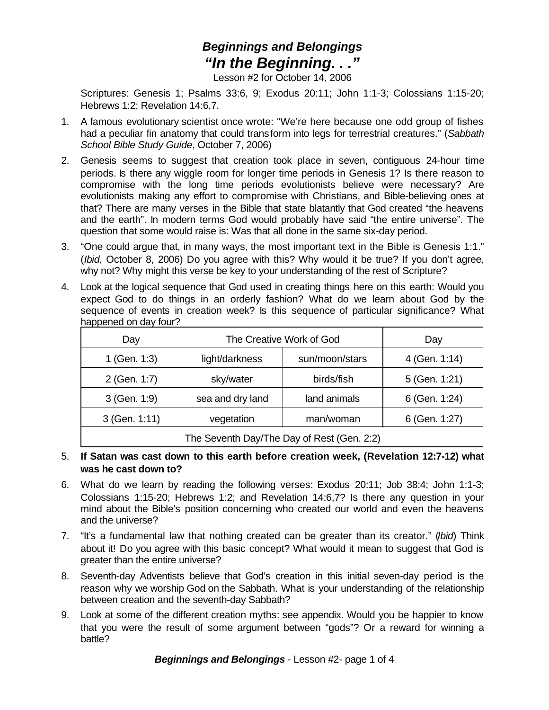## *Beginnings and Belongings "In the Beginning. . ."*

Lesson #2 for October 14, 2006

Scriptures: Genesis 1; Psalms 33:6, 9; Exodus 20:11; John 1:1-3; Colossians 1:15-20; Hebrews 1:2; Revelation 14:6,7.

- 1. A famous evolutionary scientist once wrote: "We're here because one odd group of fishes had a peculiar fin anatomy that could transform into legs for terrestrial creatures." (*Sabbath School Bible Study Guide*, October 7, 2006)
- 2. Genesis seems to suggest that creation took place in seven, contiguous 24-hour time periods. Is there any wiggle room for longer time periods in Genesis 1? Is there reason to compromise with the long time periods evolutionists believe were necessary? Are evolutionists making any effort to compromise with Christians, and Bible-believing ones at that? There are many verses in the Bible that state blatantly that God created "the heavens and the earth". In modern terms God would probably have said "the entire universe". The question that some would raise is: Was that all done in the same six-day period.
- 3. "One could argue that, in many ways, the most important text in the Bible is Genesis 1:1." (*Ibid*, October 8, 2006) Do you agree with this? Why would it be true? If you don't agree, why not? Why might this verse be key to your understanding of the rest of Scripture?
- 4. Look at the logical sequence that God used in creating things here on this earth: Would you expect God to do things in an orderly fashion? What do we learn about God by the sequence of events in creation week? Is this sequence of particular significance? What happened on day four?

| Day                                        | The Creative Work of God |                | Day           |
|--------------------------------------------|--------------------------|----------------|---------------|
| 1 (Gen. 1:3)                               | light/darkness           | sun/moon/stars | 4 (Gen. 1:14) |
| 2 (Gen. 1:7)                               | sky/water                | birds/fish     | 5 (Gen. 1:21) |
| 3 (Gen. 1:9)                               | sea and dry land         | land animals   | 6 (Gen. 1:24) |
| 3 (Gen. 1:11)                              | vegetation               | man/woman      | 6 (Gen. 1:27) |
| The Seventh Day/The Day of Rest (Gen. 2:2) |                          |                |               |

- 5. **If Satan was cast down to this earth before creation week, (Revelation 12:7-12) what was he cast down to?**
- 6. What do we learn by reading the following verses: Exodus 20:11; Job 38:4; John 1:1-3; Colossians 1:15-20; Hebrews 1:2; and Revelation 14:6,7? Is there any question in your mind about the Bible's position concerning who created our world and even the heavens and the universe?
- 7. "It's a fundamental law that nothing created can be greater than its creator." (*Ibid*) Think about it! Do you agree with this basic concept? What would it mean to suggest that God is greater than the entire universe?
- 8. Seventh-day Adventists believe that God's creation in this initial seven-day period is the reason why we worship God on the Sabbath. What is your understanding of the relationship between creation and the seventh-day Sabbath?
- 9. Look at some of the different creation myths: see appendix. Would you be happier to know that you were the result of some argument between "gods"? Or a reward for winning a battle?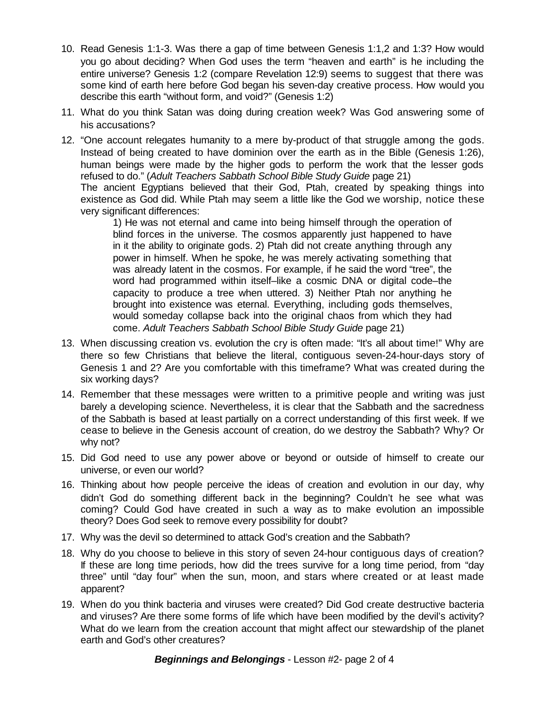- 10. Read Genesis 1:1-3. Was there a gap of time between Genesis 1:1,2 and 1:3? How would you go about deciding? When God uses the term "heaven and earth" is he including the entire universe? Genesis 1:2 (compare Revelation 12:9) seems to suggest that there was some kind of earth here before God began his seven-day creative process. How would you describe this earth "without form, and void?" (Genesis 1:2)
- 11. What do you think Satan was doing during creation week? Was God answering some of his accusations?
- 12. "One account relegates humanity to a mere by-product of that struggle among the gods. Instead of being created to have dominion over the earth as in the Bible (Genesis 1:26), human beings were made by the higher gods to perform the work that the lesser gods refused to do." (*Adult Teachers Sabbath School Bible Study Guide* page 21) The ancient Egyptians believed that their God, Ptah, created by speaking things into existence as God did. While Ptah may seem a little like the God we worship, notice these very significant differences:

1) He was not eternal and came into being himself through the operation of blind forces in the universe. The cosmos apparently just happened to have in it the ability to originate gods. 2) Ptah did not create anything through any power in himself. When he spoke, he was merely activating something that was already latent in the cosmos. For example, if he said the word "tree", the word had programmed within itself–like a cosmic DNA or digital code–the capacity to produce a tree when uttered. 3) Neither Ptah nor anything he brought into existence was eternal. Everything, including gods themselves, would someday collapse back into the original chaos from which they had come. *Adult Teachers Sabbath School Bible Study Guide* page 21)

- 13. When discussing creation vs. evolution the cry is often made: "It's all about time!" Why are there so few Christians that believe the literal, contiguous seven-24-hour-days story of Genesis 1 and 2? Are you comfortable with this timeframe? What was created during the six working days?
- 14. Remember that these messages were written to a primitive people and writing was just barely a developing science. Nevertheless, it is clear that the Sabbath and the sacredness of the Sabbath is based at least partially on a correct understanding of this first week. If we cease to believe in the Genesis account of creation, do we destroy the Sabbath? Why? Or why not?
- 15. Did God need to use any power above or beyond or outside of himself to create our universe, or even our world?
- 16. Thinking about how people perceive the ideas of creation and evolution in our day, why didn't God do something different back in the beginning? Couldn't he see what was coming? Could God have created in such a way as to make evolution an impossible theory? Does God seek to remove every possibility for doubt?
- 17. Why was the devil so determined to attack God's creation and the Sabbath?
- 18. Why do you choose to believe in this story of seven 24-hour contiguous days of creation? If these are long time periods, how did the trees survive for a long time period, from "day three" until "day four" when the sun, moon, and stars where created or at least made apparent?
- 19. When do you think bacteria and viruses were created? Did God create destructive bacteria and viruses? Are there some forms of life which have been modified by the devil's activity? What do we learn from the creation account that might affect our stewardship of the planet earth and God's other creatures?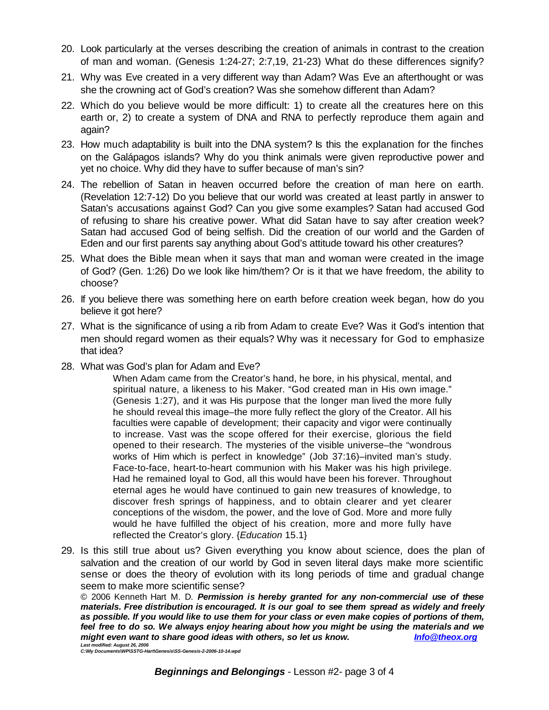- 20. Look particularly at the verses describing the creation of animals in contrast to the creation of man and woman. (Genesis 1:24-27; 2:7,19, 21-23) What do these differences signify?
- 21. Why was Eve created in a very different way than Adam? Was Eve an afterthought or was she the crowning act of God's creation? Was she somehow different than Adam?
- 22. Which do you believe would be more difficult: 1) to create all the creatures here on this earth or, 2) to create a system of DNA and RNA to perfectly reproduce them again and again?
- 23. How much adaptability is built into the DNA system? Is this the explanation for the finches on the Galápagos islands? Why do you think animals were given reproductive power and yet no choice. Why did they have to suffer because of man's sin?
- 24. The rebellion of Satan in heaven occurred before the creation of man here on earth. (Revelation 12:7-12) Do you believe that our world was created at least partly in answer to Satan's accusations against God? Can you give some examples? Satan had accused God of refusing to share his creative power. What did Satan have to say after creation week? Satan had accused God of being selfish. Did the creation of our world and the Garden of Eden and our first parents say anything about God's attitude toward his other creatures?
- 25. What does the Bible mean when it says that man and woman were created in the image of God? (Gen. 1:26) Do we look like him/them? Or is it that we have freedom, the ability to choose?
- 26. If you believe there was something here on earth before creation week began, how do you believe it got here?
- 27. What is the significance of using a rib from Adam to create Eve? Was it God's intention that men should regard women as their equals? Why was it necessary for God to emphasize that idea?
- 28. What was God's plan for Adam and Eve?

When Adam came from the Creator's hand, he bore, in his physical, mental, and spiritual nature, a likeness to his Maker. "God created man in His own image." (Genesis 1:27), and it was His purpose that the longer man lived the more fully he should reveal this image–the more fully reflect the glory of the Creator. All his faculties were capable of development; their capacity and vigor were continually to increase. Vast was the scope offered for their exercise, glorious the field opened to their research. The mysteries of the visible universe–the "wondrous works of Him which is perfect in knowledge" (Job 37:16)–invited man's study. Face-to-face, heart-to-heart communion with his Maker was his high privilege. Had he remained loyal to God, all this would have been his forever. Throughout eternal ages he would have continued to gain new treasures of knowledge, to discover fresh springs of happiness, and to obtain clearer and yet clearer conceptions of the wisdom, the power, and the love of God. More and more fully would he have fulfilled the object of his creation, more and more fully have reflected the Creator's glory. {*Education* 15.1}

29. Is this still true about us? Given everything you know about science, does the plan of salvation and the creation of our world by God in seven literal days make more scientific sense or does the theory of evolution with its long periods of time and gradual change seem to make more scientific sense?

© 2006 Kenneth Hart M. D. *Permission is hereby granted for any non-commercial use of these materials. Free distribution is encouraged. It is our goal to see them spread as widely and freely as possible. If you would like to use them for your class or even make copies of portions of them, feel free to do so. We always enjoy hearing about how you might be using the materials and we might even want to share good ideas with others, so let us know. Info@theox.org* 

*Last modified: August 26, 2006 C:\My Documents\WP\SSTG-Hart\Genesis\SS-Genesis-2-2006-10-14.wpd*